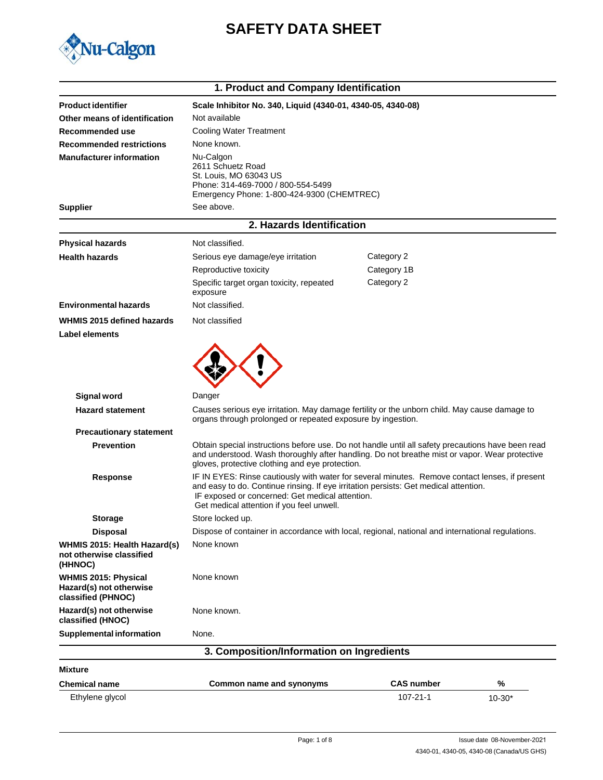

# **SAFETY DATA SHEET**

|                                                                              | 1. Product and Company Identification                                                                                                                                                                                                                                                  |                   |            |
|------------------------------------------------------------------------------|----------------------------------------------------------------------------------------------------------------------------------------------------------------------------------------------------------------------------------------------------------------------------------------|-------------------|------------|
| <b>Product identifier</b>                                                    | Scale Inhibitor No. 340, Liquid (4340-01, 4340-05, 4340-08)                                                                                                                                                                                                                            |                   |            |
| Other means of identification                                                | Not available                                                                                                                                                                                                                                                                          |                   |            |
| Recommended use                                                              | <b>Cooling Water Treatment</b>                                                                                                                                                                                                                                                         |                   |            |
| <b>Recommended restrictions</b>                                              | None known.                                                                                                                                                                                                                                                                            |                   |            |
| <b>Manufacturer information</b>                                              | Nu-Calgon<br>2611 Schuetz Road<br>St. Louis, MO 63043 US<br>Phone: 314-469-7000 / 800-554-5499<br>Emergency Phone: 1-800-424-9300 (CHEMTREC)                                                                                                                                           |                   |            |
| <b>Supplier</b>                                                              | See above.                                                                                                                                                                                                                                                                             |                   |            |
|                                                                              | 2. Hazards Identification                                                                                                                                                                                                                                                              |                   |            |
| <b>Physical hazards</b>                                                      | Not classified.                                                                                                                                                                                                                                                                        |                   |            |
| <b>Health hazards</b>                                                        | Serious eye damage/eye irritation                                                                                                                                                                                                                                                      | Category 2        |            |
|                                                                              | Reproductive toxicity                                                                                                                                                                                                                                                                  | Category 1B       |            |
|                                                                              | Specific target organ toxicity, repeated<br>exposure                                                                                                                                                                                                                                   | Category 2        |            |
| <b>Environmental hazards</b>                                                 | Not classified.                                                                                                                                                                                                                                                                        |                   |            |
| WHMIS 2015 defined hazards                                                   | Not classified                                                                                                                                                                                                                                                                         |                   |            |
| Label elements                                                               |                                                                                                                                                                                                                                                                                        |                   |            |
| Signal word<br><b>Hazard statement</b>                                       | Danger<br>Causes serious eye irritation. May damage fertility or the unborn child. May cause damage to                                                                                                                                                                                 |                   |            |
|                                                                              | organs through prolonged or repeated exposure by ingestion.                                                                                                                                                                                                                            |                   |            |
| <b>Precautionary statement</b><br><b>Prevention</b>                          | Obtain special instructions before use. Do not handle until all safety precautions have been read<br>and understood. Wash thoroughly after handling. Do not breathe mist or vapor. Wear protective<br>gloves, protective clothing and eye protection.                                  |                   |            |
| <b>Response</b>                                                              | IF IN EYES: Rinse cautiously with water for several minutes. Remove contact lenses, if present<br>and easy to do. Continue rinsing. If eye irritation persists: Get medical attention.<br>IF exposed or concerned: Get medical attention.<br>Get medical attention if you feel unwell. |                   |            |
| <b>Storage</b>                                                               | Store locked up.                                                                                                                                                                                                                                                                       |                   |            |
| <b>Disposal</b>                                                              | Dispose of container in accordance with local, regional, national and international regulations.                                                                                                                                                                                       |                   |            |
| WHMIS 2015: Health Hazard(s)<br>not otherwise classified<br>(HHNOC)          | None known                                                                                                                                                                                                                                                                             |                   |            |
| <b>WHMIS 2015: Physical</b><br>Hazard(s) not otherwise<br>classified (PHNOC) | None known                                                                                                                                                                                                                                                                             |                   |            |
| Hazard(s) not otherwise<br>classified (HNOC)                                 | None known.                                                                                                                                                                                                                                                                            |                   |            |
| <b>Supplemental information</b>                                              | None.                                                                                                                                                                                                                                                                                  |                   |            |
|                                                                              | 3. Composition/Information on Ingredients                                                                                                                                                                                                                                              |                   |            |
| <b>Mixture</b>                                                               |                                                                                                                                                                                                                                                                                        |                   |            |
| <b>Chemical name</b>                                                         | Common name and synonyms                                                                                                                                                                                                                                                               | <b>CAS number</b> | %          |
| Ethylene glycol                                                              |                                                                                                                                                                                                                                                                                        | 107-21-1          | $10 - 30*$ |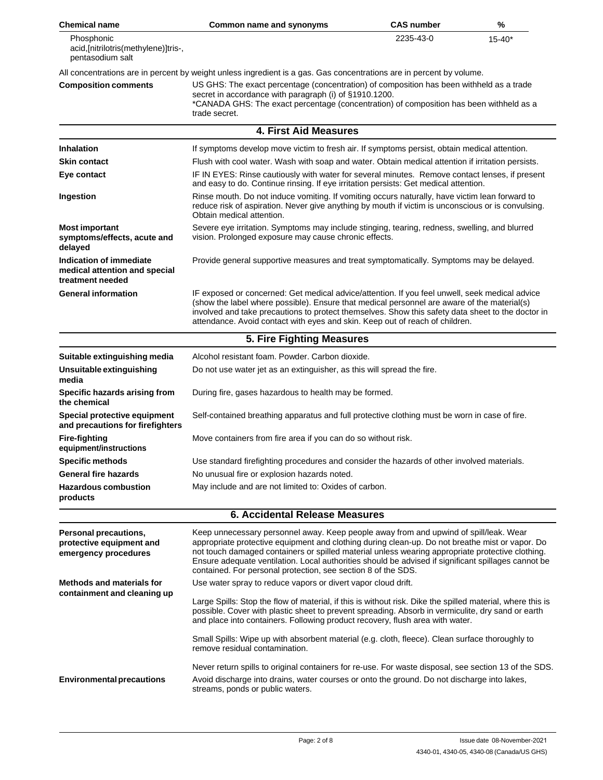| <b>Chemical name</b>                                                         | <b>Common name and synonyms</b>                                                                                                                                                                                                                                                                                                                                                                                                                                      | <b>CAS number</b> | %          |
|------------------------------------------------------------------------------|----------------------------------------------------------------------------------------------------------------------------------------------------------------------------------------------------------------------------------------------------------------------------------------------------------------------------------------------------------------------------------------------------------------------------------------------------------------------|-------------------|------------|
| Phosphonic<br>acid,[nitrilotris(methylene)]tris-,<br>pentasodium salt        |                                                                                                                                                                                                                                                                                                                                                                                                                                                                      | 2235-43-0         | $15 - 40*$ |
|                                                                              | All concentrations are in percent by weight unless ingredient is a gas. Gas concentrations are in percent by volume.                                                                                                                                                                                                                                                                                                                                                 |                   |            |
| <b>Composition comments</b>                                                  | US GHS: The exact percentage (concentration) of composition has been withheld as a trade<br>secret in accordance with paragraph (i) of §1910.1200.<br>*CANADA GHS: The exact percentage (concentration) of composition has been withheld as a<br>trade secret.                                                                                                                                                                                                       |                   |            |
|                                                                              | <b>4. First Aid Measures</b>                                                                                                                                                                                                                                                                                                                                                                                                                                         |                   |            |
| <b>Inhalation</b>                                                            | If symptoms develop move victim to fresh air. If symptoms persist, obtain medical attention.                                                                                                                                                                                                                                                                                                                                                                         |                   |            |
| <b>Skin contact</b>                                                          | Flush with cool water. Wash with soap and water. Obtain medical attention if irritation persists.                                                                                                                                                                                                                                                                                                                                                                    |                   |            |
| Eye contact                                                                  | IF IN EYES: Rinse cautiously with water for several minutes. Remove contact lenses, if present<br>and easy to do. Continue rinsing. If eye irritation persists: Get medical attention.                                                                                                                                                                                                                                                                               |                   |            |
| Ingestion                                                                    | Rinse mouth. Do not induce vomiting. If vomiting occurs naturally, have victim lean forward to<br>reduce risk of aspiration. Never give anything by mouth if victim is unconscious or is convulsing.<br>Obtain medical attention.                                                                                                                                                                                                                                    |                   |            |
| <b>Most important</b><br>symptoms/effects, acute and<br>delayed              | Severe eye irritation. Symptoms may include stinging, tearing, redness, swelling, and blurred<br>vision. Prolonged exposure may cause chronic effects.                                                                                                                                                                                                                                                                                                               |                   |            |
| Indication of immediate<br>medical attention and special<br>treatment needed | Provide general supportive measures and treat symptomatically. Symptoms may be delayed.                                                                                                                                                                                                                                                                                                                                                                              |                   |            |
| <b>General information</b>                                                   | IF exposed or concerned: Get medical advice/attention. If you feel unwell, seek medical advice<br>(show the label where possible). Ensure that medical personnel are aware of the material(s)<br>involved and take precautions to protect themselves. Show this safety data sheet to the doctor in<br>attendance. Avoid contact with eyes and skin. Keep out of reach of children.                                                                                   |                   |            |
|                                                                              | 5. Fire Fighting Measures                                                                                                                                                                                                                                                                                                                                                                                                                                            |                   |            |
| Suitable extinguishing media                                                 | Alcohol resistant foam. Powder, Carbon dioxide.                                                                                                                                                                                                                                                                                                                                                                                                                      |                   |            |
| Unsuitable extinguishing<br>media                                            | Do not use water jet as an extinguisher, as this will spread the fire.                                                                                                                                                                                                                                                                                                                                                                                               |                   |            |
| Specific hazards arising from<br>the chemical                                | During fire, gases hazardous to health may be formed.                                                                                                                                                                                                                                                                                                                                                                                                                |                   |            |
| Special protective equipment<br>and precautions for firefighters             | Self-contained breathing apparatus and full protective clothing must be worn in case of fire.                                                                                                                                                                                                                                                                                                                                                                        |                   |            |
| <b>Fire-fighting</b><br>equipment/instructions                               | Move containers from fire area if you can do so without risk.                                                                                                                                                                                                                                                                                                                                                                                                        |                   |            |
| <b>Specific methods</b>                                                      | Use standard firefighting procedures and consider the hazards of other involved materials.                                                                                                                                                                                                                                                                                                                                                                           |                   |            |
| <b>General fire hazards</b>                                                  | No unusual fire or explosion hazards noted.                                                                                                                                                                                                                                                                                                                                                                                                                          |                   |            |
| <b>Hazardous combustion</b><br>products                                      | May include and are not limited to: Oxides of carbon.                                                                                                                                                                                                                                                                                                                                                                                                                |                   |            |
|                                                                              | <b>6. Accidental Release Measures</b>                                                                                                                                                                                                                                                                                                                                                                                                                                |                   |            |
| Personal precautions,<br>protective equipment and<br>emergency procedures    | Keep unnecessary personnel away. Keep people away from and upwind of spill/leak. Wear<br>appropriate protective equipment and clothing during clean-up. Do not breathe mist or vapor. Do<br>not touch damaged containers or spilled material unless wearing appropriate protective clothing.<br>Ensure adequate ventilation. Local authorities should be advised if significant spillages cannot be<br>contained. For personal protection, see section 8 of the SDS. |                   |            |
| <b>Methods and materials for</b>                                             | Use water spray to reduce vapors or divert vapor cloud drift.                                                                                                                                                                                                                                                                                                                                                                                                        |                   |            |
| containment and cleaning up                                                  | Large Spills: Stop the flow of material, if this is without risk. Dike the spilled material, where this is<br>possible. Cover with plastic sheet to prevent spreading. Absorb in vermiculite, dry sand or earth<br>and place into containers. Following product recovery, flush area with water.                                                                                                                                                                     |                   |            |
|                                                                              | Small Spills: Wipe up with absorbent material (e.g. cloth, fleece). Clean surface thoroughly to<br>remove residual contamination.                                                                                                                                                                                                                                                                                                                                    |                   |            |
| <b>Environmental precautions</b>                                             | Never return spills to original containers for re-use. For waste disposal, see section 13 of the SDS.<br>Avoid discharge into drains, water courses or onto the ground. Do not discharge into lakes,<br>streams, ponds or public waters.                                                                                                                                                                                                                             |                   |            |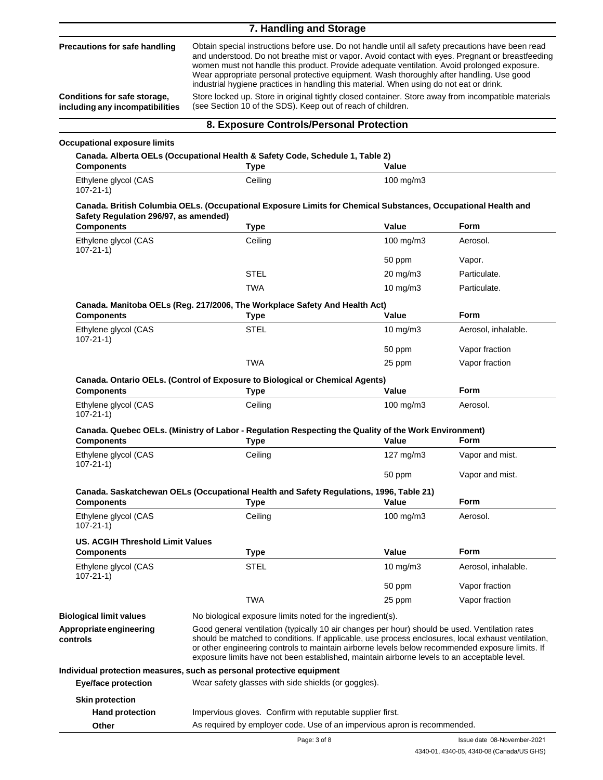#### **7. Handling and Storage**

|                                                                 | 7. Handling and Storage                                                                                                                                                                                                                                                                                                                                                                                                                                                                     |                                                                                                                                                                    |                     |  |
|-----------------------------------------------------------------|---------------------------------------------------------------------------------------------------------------------------------------------------------------------------------------------------------------------------------------------------------------------------------------------------------------------------------------------------------------------------------------------------------------------------------------------------------------------------------------------|--------------------------------------------------------------------------------------------------------------------------------------------------------------------|---------------------|--|
| Precautions for safe handling                                   | Obtain special instructions before use. Do not handle until all safety precautions have been read<br>and understood. Do not breathe mist or vapor. Avoid contact with eyes. Pregnant or breastfeeding<br>women must not handle this product. Provide adequate ventilation. Avoid prolonged exposure.<br>Wear appropriate personal protective equipment. Wash thoroughly after handling. Use good<br>industrial hygiene practices in handling this material. When using do not eat or drink. |                                                                                                                                                                    |                     |  |
| Conditions for safe storage,<br>including any incompatibilities |                                                                                                                                                                                                                                                                                                                                                                                                                                                                                             | Store locked up. Store in original tightly closed container. Store away from incompatible materials<br>(see Section 10 of the SDS). Keep out of reach of children. |                     |  |
|                                                                 | 8. Exposure Controls/Personal Protection                                                                                                                                                                                                                                                                                                                                                                                                                                                    |                                                                                                                                                                    |                     |  |
| <b>Occupational exposure limits</b>                             |                                                                                                                                                                                                                                                                                                                                                                                                                                                                                             |                                                                                                                                                                    |                     |  |
| <b>Components</b>                                               | Canada. Alberta OELs (Occupational Health & Safety Code, Schedule 1, Table 2)<br><b>Type</b>                                                                                                                                                                                                                                                                                                                                                                                                | Value                                                                                                                                                              |                     |  |
| Ethylene glycol (CAS<br>$107 - 21 - 1$                          | Ceiling                                                                                                                                                                                                                                                                                                                                                                                                                                                                                     | 100 mg/m3                                                                                                                                                          |                     |  |
| Safety Regulation 296/97, as amended)                           | Canada. British Columbia OELs. (Occupational Exposure Limits for Chemical Substances, Occupational Health and                                                                                                                                                                                                                                                                                                                                                                               |                                                                                                                                                                    |                     |  |
| <b>Components</b>                                               | Type                                                                                                                                                                                                                                                                                                                                                                                                                                                                                        | Value                                                                                                                                                              | <b>Form</b>         |  |
| Ethylene glycol (CAS<br>$107 - 21 - 1$                          | Ceiling                                                                                                                                                                                                                                                                                                                                                                                                                                                                                     | $100$ mg/m $3$                                                                                                                                                     | Aerosol.            |  |
|                                                                 |                                                                                                                                                                                                                                                                                                                                                                                                                                                                                             | 50 ppm                                                                                                                                                             | Vapor.              |  |
|                                                                 | <b>STEL</b>                                                                                                                                                                                                                                                                                                                                                                                                                                                                                 | $20 \text{ mg/m}$ 3                                                                                                                                                | Particulate.        |  |
|                                                                 | TWA                                                                                                                                                                                                                                                                                                                                                                                                                                                                                         | $10$ mg/m $3$                                                                                                                                                      | Particulate.        |  |
| <b>Components</b>                                               | Canada. Manitoba OELs (Reg. 217/2006, The Workplace Safety And Health Act)<br>Type                                                                                                                                                                                                                                                                                                                                                                                                          | Value                                                                                                                                                              | <b>Form</b>         |  |
| Ethylene glycol (CAS<br>$107 - 21 - 1$                          | STEL                                                                                                                                                                                                                                                                                                                                                                                                                                                                                        | 10 mg/m3                                                                                                                                                           | Aerosol, inhalable. |  |
|                                                                 |                                                                                                                                                                                                                                                                                                                                                                                                                                                                                             | 50 ppm                                                                                                                                                             | Vapor fraction      |  |
|                                                                 | <b>TWA</b>                                                                                                                                                                                                                                                                                                                                                                                                                                                                                  | 25 ppm                                                                                                                                                             | Vapor fraction      |  |
| <b>Components</b>                                               | Canada. Ontario OELs. (Control of Exposure to Biological or Chemical Agents)<br><b>Type</b>                                                                                                                                                                                                                                                                                                                                                                                                 | Value                                                                                                                                                              | Form                |  |
| Ethylene glycol (CAS<br>$107 - 21 - 1$                          | Ceiling                                                                                                                                                                                                                                                                                                                                                                                                                                                                                     | 100 mg/m3                                                                                                                                                          | Aerosol.            |  |
| <b>Components</b>                                               | Canada. Quebec OELs. (Ministry of Labor - Regulation Respecting the Quality of the Work Environment)<br><b>Type</b>                                                                                                                                                                                                                                                                                                                                                                         | Value                                                                                                                                                              | <b>Form</b>         |  |
| Ethylene glycol (CAS<br>$107 - 21 - 1$                          | Ceiling                                                                                                                                                                                                                                                                                                                                                                                                                                                                                     | 127 mg/m3                                                                                                                                                          | Vapor and mist.     |  |
|                                                                 |                                                                                                                                                                                                                                                                                                                                                                                                                                                                                             | 50 ppm                                                                                                                                                             | Vapor and mist.     |  |
| <b>Components</b>                                               | Canada. Saskatchewan OELs (Occupational Health and Safety Regulations, 1996, Table 21)<br><b>Type</b>                                                                                                                                                                                                                                                                                                                                                                                       | Value                                                                                                                                                              | Form                |  |
| Ethylene glycol (CAS                                            | Ceiling                                                                                                                                                                                                                                                                                                                                                                                                                                                                                     | $100$ mg/m $3$                                                                                                                                                     | Aerosol.            |  |
| $107 - 21 - 1$                                                  |                                                                                                                                                                                                                                                                                                                                                                                                                                                                                             |                                                                                                                                                                    |                     |  |
| <b>US. ACGIH Threshold Limit Values</b><br><b>Components</b>    | Type                                                                                                                                                                                                                                                                                                                                                                                                                                                                                        | Value                                                                                                                                                              | <b>Form</b>         |  |
| Ethylene glycol (CAS                                            | <b>STEL</b>                                                                                                                                                                                                                                                                                                                                                                                                                                                                                 | $10 \text{ mg/m}$                                                                                                                                                  | Aerosol, inhalable. |  |
| $107 - 21 - 1$                                                  |                                                                                                                                                                                                                                                                                                                                                                                                                                                                                             | 50 ppm                                                                                                                                                             | Vapor fraction      |  |
|                                                                 | <b>TWA</b>                                                                                                                                                                                                                                                                                                                                                                                                                                                                                  | 25 ppm                                                                                                                                                             | Vapor fraction      |  |
| <b>Biological limit values</b>                                  | No biological exposure limits noted for the ingredient(s).                                                                                                                                                                                                                                                                                                                                                                                                                                  |                                                                                                                                                                    |                     |  |
| Appropriate engineering<br>controls                             | Good general ventilation (typically 10 air changes per hour) should be used. Ventilation rates<br>should be matched to conditions. If applicable, use process enclosures, local exhaust ventilation,<br>or other engineering controls to maintain airborne levels below recommended exposure limits. If<br>exposure limits have not been established, maintain airborne levels to an acceptable level.                                                                                      |                                                                                                                                                                    |                     |  |
|                                                                 | Individual protection measures, such as personal protective equipment                                                                                                                                                                                                                                                                                                                                                                                                                       |                                                                                                                                                                    |                     |  |
| <b>Eye/face protection</b>                                      | Wear safety glasses with side shields (or goggles).                                                                                                                                                                                                                                                                                                                                                                                                                                         |                                                                                                                                                                    |                     |  |
| <b>Skin protection</b>                                          |                                                                                                                                                                                                                                                                                                                                                                                                                                                                                             |                                                                                                                                                                    |                     |  |

**Hand protection**

**Other**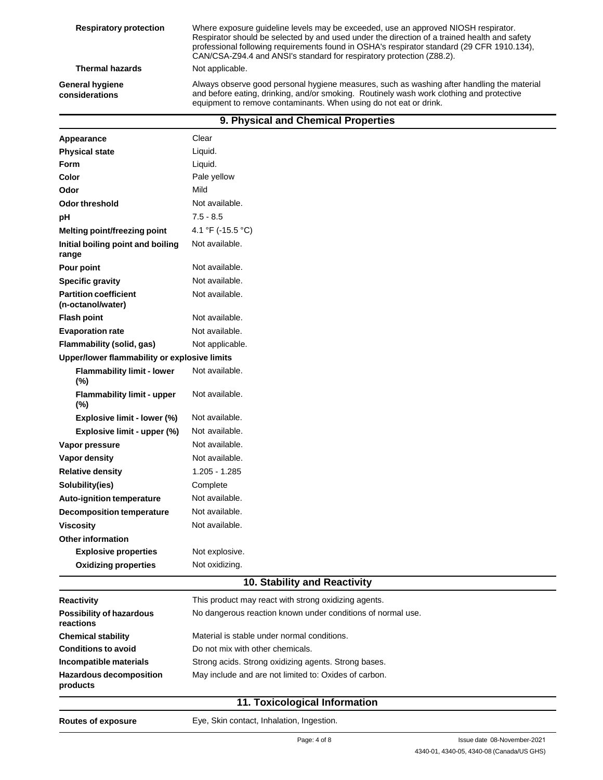| <b>Respiratory protection</b>     | Where exposure guideline levels may be exceeded, use an approved NIOSH respirator.<br>Respirator should be selected by and used under the direction of a trained health and safety<br>professional following requirements found in OSHA's respirator standard (29 CFR 1910.134),<br>CAN/CSA-Z94.4 and ANSI's standard for respiratory protection (Z88.2). |
|-----------------------------------|-----------------------------------------------------------------------------------------------------------------------------------------------------------------------------------------------------------------------------------------------------------------------------------------------------------------------------------------------------------|
| <b>Thermal hazards</b>            | Not applicable.                                                                                                                                                                                                                                                                                                                                           |
| General hygiene<br>considerations | Always observe good personal hygiene measures, such as washing after handling the material<br>and before eating, drinking, and/or smoking. Routinely wash work clothing and protective<br>equipment to remove contaminants. When using do not eat or drink.                                                                                               |

| 9. Physical and Chemical Properties               |                                                |  |
|---------------------------------------------------|------------------------------------------------|--|
| Appearance                                        | Clear                                          |  |
| <b>Physical state</b>                             | Liquid.                                        |  |
| Form                                              | Liquid.                                        |  |
| Color                                             | Pale yellow                                    |  |
| Odor                                              | Mild                                           |  |
| Odor threshold                                    | Not available.                                 |  |
| pH                                                | $7.5 - 8.5$                                    |  |
| Melting point/freezing point                      | 4.1 °F (-15.5 °C)                              |  |
| Initial boiling point and boiling<br>range        | Not available.                                 |  |
| Pour point                                        | Not available.                                 |  |
| <b>Specific gravity</b>                           | Not available.                                 |  |
| <b>Partition coefficient</b><br>(n-octanol/water) | Not available.                                 |  |
| <b>Flash point</b>                                | Not available.                                 |  |
| <b>Evaporation rate</b>                           | Not available.                                 |  |
| Flammability (solid, gas)                         | Not applicable.                                |  |
| Upper/lower flammability or explosive limits      |                                                |  |
| <b>Flammability limit - lower</b><br>(%)          | Not available.                                 |  |
| <b>Flammability limit - upper</b><br>(%)          | Not available.                                 |  |
| Explosive limit - lower (%)                       | Not available.                                 |  |
| Explosive limit - upper (%)                       | Not available.                                 |  |
| Vapor pressure                                    | Not available.                                 |  |
| Vapor density                                     | Not available.                                 |  |
| <b>Relative density</b>                           | 1.205 - 1.285                                  |  |
| Solubility(ies)                                   | Complete                                       |  |
| Auto-ignition temperature                         | Not available.                                 |  |
| <b>Decomposition temperature</b>                  | Not available.                                 |  |
| <b>Viscosity</b>                                  | Not available.                                 |  |
| <b>Other information</b>                          |                                                |  |
| <b>Explosive properties</b>                       | Not explosive.                                 |  |
| <b>Oxidizing properties</b>                       | Not oxidizing.<br>40. Clability and Departuity |  |

### **10. Stability and Reactivity**

| <b>Reactivity</b>                            | This product may react with strong oxidizing agents.        |
|----------------------------------------------|-------------------------------------------------------------|
| <b>Possibility of hazardous</b><br>reactions | No dangerous reaction known under conditions of normal use. |
| <b>Chemical stability</b>                    | Material is stable under normal conditions.                 |
| <b>Conditions to avoid</b>                   | Do not mix with other chemicals.                            |
| Incompatible materials                       | Strong acids. Strong oxidizing agents. Strong bases.        |
| <b>Hazardous decomposition</b><br>products   | May include and are not limited to: Oxides of carbon.       |
|                                              |                                                             |

## **11. Toxicological Information**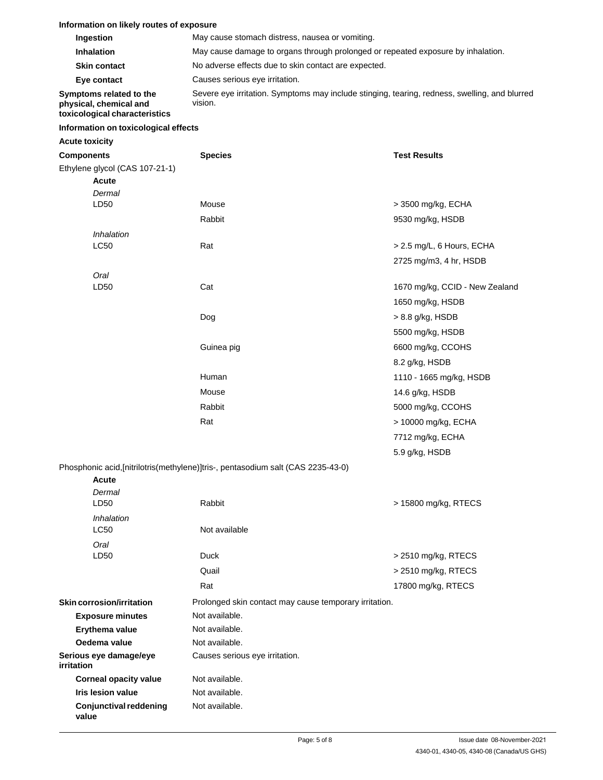### **Information on likely routes of exposure**

| Ingestion                                                                          | May cause stomach distress, nausea or vomiting.                                                          |
|------------------------------------------------------------------------------------|----------------------------------------------------------------------------------------------------------|
| <b>Inhalation</b>                                                                  | May cause damage to organs through prolonged or repeated exposure by inhalation.                         |
| <b>Skin contact</b>                                                                | No adverse effects due to skin contact are expected.                                                     |
| Eye contact                                                                        | Causes serious eye irritation.                                                                           |
| Symptoms related to the<br>physical, chemical and<br>toxicological characteristics | Severe eye irritation. Symptoms may include stinging, tearing, redness, swelling, and blurred<br>vision. |
| Information on toxicological effects                                               |                                                                                                          |

### **Acute toxicity**

| <b>Components</b>                      | <b>Species</b>                                                                   | <b>Test Results</b>            |
|----------------------------------------|----------------------------------------------------------------------------------|--------------------------------|
| Ethylene glycol (CAS 107-21-1)         |                                                                                  |                                |
| Acute                                  |                                                                                  |                                |
| Dermal                                 |                                                                                  |                                |
| LD50                                   | Mouse                                                                            | > 3500 mg/kg, ECHA             |
|                                        | Rabbit                                                                           | 9530 mg/kg, HSDB               |
| Inhalation                             |                                                                                  |                                |
| LC50                                   | Rat                                                                              | > 2.5 mg/L, 6 Hours, ECHA      |
|                                        |                                                                                  | 2725 mg/m3, 4 hr, HSDB         |
| Oral                                   |                                                                                  |                                |
| LD50                                   | Cat                                                                              | 1670 mg/kg, CCID - New Zealand |
|                                        |                                                                                  | 1650 mg/kg, HSDB               |
|                                        | Dog                                                                              | > 8.8 g/kg, HSDB               |
|                                        |                                                                                  | 5500 mg/kg, HSDB               |
|                                        | Guinea pig                                                                       | 6600 mg/kg, CCOHS              |
|                                        |                                                                                  | 8.2 g/kg, HSDB                 |
|                                        | Human                                                                            | 1110 - 1665 mg/kg, HSDB        |
|                                        | Mouse                                                                            | 14.6 g/kg, HSDB                |
|                                        | Rabbit                                                                           | 5000 mg/kg, CCOHS              |
|                                        | Rat                                                                              | > 10000 mg/kg, ECHA            |
|                                        |                                                                                  | 7712 mg/kg, ECHA               |
|                                        |                                                                                  | 5.9 g/kg, HSDB                 |
|                                        | Phosphonic acid, [nitrilotris(methylene)]tris-, pentasodium salt (CAS 2235-43-0) |                                |
| <b>Acute</b>                           |                                                                                  |                                |
| Dermal                                 |                                                                                  |                                |
| LD50                                   | Rabbit                                                                           | > 15800 mg/kg, RTECS           |
| Inhalation                             |                                                                                  |                                |
| LC50                                   | Not available                                                                    |                                |
| Oral                                   |                                                                                  |                                |
| LD50                                   | <b>Duck</b>                                                                      | > 2510 mg/kg, RTECS            |
|                                        | Quail                                                                            | > 2510 mg/kg, RTECS            |
|                                        | Rat                                                                              | 17800 mg/kg, RTECS             |
| <b>Skin corrosion/irritation</b>       | Prolonged skin contact may cause temporary irritation.                           |                                |
| <b>Exposure minutes</b>                | Not available.                                                                   |                                |
| Erythema value                         | Not available.                                                                   |                                |
| Oedema value                           | Not available.                                                                   |                                |
| Serious eye damage/eye<br>irritation   | Causes serious eye irritation.                                                   |                                |
| <b>Corneal opacity value</b>           | Not available.                                                                   |                                |
| <b>Iris lesion value</b>               | Not available.                                                                   |                                |
| <b>Conjunctival reddening</b><br>value | Not available.                                                                   |                                |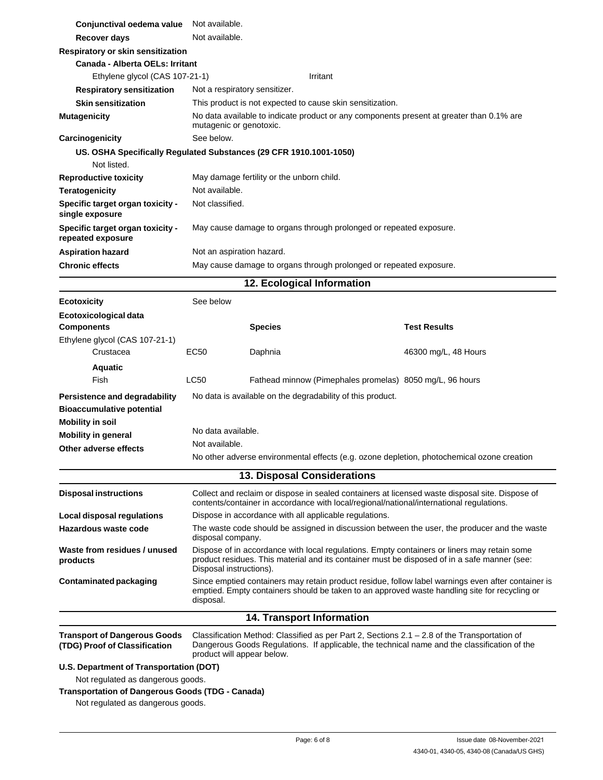| Conjunctival oedema value                                                                    | Not available.                |                                                                                                                                                                                                                        |                                                                                                                                                                                                     |
|----------------------------------------------------------------------------------------------|-------------------------------|------------------------------------------------------------------------------------------------------------------------------------------------------------------------------------------------------------------------|-----------------------------------------------------------------------------------------------------------------------------------------------------------------------------------------------------|
| Recover days                                                                                 | Not available.                |                                                                                                                                                                                                                        |                                                                                                                                                                                                     |
| Respiratory or skin sensitization                                                            |                               |                                                                                                                                                                                                                        |                                                                                                                                                                                                     |
| Canada - Alberta OELs: Irritant                                                              |                               |                                                                                                                                                                                                                        |                                                                                                                                                                                                     |
| Ethylene glycol (CAS 107-21-1)                                                               |                               | Irritant                                                                                                                                                                                                               |                                                                                                                                                                                                     |
| <b>Respiratory sensitization</b>                                                             | Not a respiratory sensitizer. |                                                                                                                                                                                                                        |                                                                                                                                                                                                     |
| <b>Skin sensitization</b>                                                                    |                               | This product is not expected to cause skin sensitization.                                                                                                                                                              |                                                                                                                                                                                                     |
| <b>Mutagenicity</b>                                                                          | mutagenic or genotoxic.       |                                                                                                                                                                                                                        | No data available to indicate product or any components present at greater than 0.1% are                                                                                                            |
| Carcinogenicity                                                                              | See below.                    |                                                                                                                                                                                                                        |                                                                                                                                                                                                     |
| US. OSHA Specifically Regulated Substances (29 CFR 1910.1001-1050)<br>Not listed.            |                               |                                                                                                                                                                                                                        |                                                                                                                                                                                                     |
| <b>Reproductive toxicity</b>                                                                 |                               | May damage fertility or the unborn child.                                                                                                                                                                              |                                                                                                                                                                                                     |
| <b>Teratogenicity</b>                                                                        | Not available.                |                                                                                                                                                                                                                        |                                                                                                                                                                                                     |
| Specific target organ toxicity -<br>single exposure                                          | Not classified.               |                                                                                                                                                                                                                        |                                                                                                                                                                                                     |
| Specific target organ toxicity -<br>repeated exposure                                        |                               |                                                                                                                                                                                                                        | May cause damage to organs through prolonged or repeated exposure.                                                                                                                                  |
| <b>Aspiration hazard</b>                                                                     | Not an aspiration hazard.     |                                                                                                                                                                                                                        |                                                                                                                                                                                                     |
| <b>Chronic effects</b>                                                                       |                               |                                                                                                                                                                                                                        | May cause damage to organs through prolonged or repeated exposure.                                                                                                                                  |
|                                                                                              |                               | 12. Ecological Information                                                                                                                                                                                             |                                                                                                                                                                                                     |
|                                                                                              |                               |                                                                                                                                                                                                                        |                                                                                                                                                                                                     |
| <b>Ecotoxicity</b>                                                                           | See below                     |                                                                                                                                                                                                                        |                                                                                                                                                                                                     |
| Ecotoxicological data<br><b>Components</b>                                                   |                               | <b>Species</b>                                                                                                                                                                                                         | <b>Test Results</b>                                                                                                                                                                                 |
| Ethylene glycol (CAS 107-21-1)                                                               |                               |                                                                                                                                                                                                                        |                                                                                                                                                                                                     |
| Crustacea                                                                                    | EC50                          | Daphnia                                                                                                                                                                                                                | 46300 mg/L, 48 Hours                                                                                                                                                                                |
| <b>Aquatic</b>                                                                               |                               |                                                                                                                                                                                                                        |                                                                                                                                                                                                     |
| Fish                                                                                         | LC50                          |                                                                                                                                                                                                                        | Fathead minnow (Pimephales promelas) 8050 mg/L, 96 hours                                                                                                                                            |
| Persistence and degradability                                                                |                               | No data is available on the degradability of this product.                                                                                                                                                             |                                                                                                                                                                                                     |
| <b>Bioaccumulative potential</b>                                                             |                               |                                                                                                                                                                                                                        |                                                                                                                                                                                                     |
| <b>Mobility in soil</b>                                                                      |                               |                                                                                                                                                                                                                        |                                                                                                                                                                                                     |
| <b>Mobility in general</b>                                                                   | No data available.            |                                                                                                                                                                                                                        |                                                                                                                                                                                                     |
| Other adverse effects                                                                        | Not available.                |                                                                                                                                                                                                                        |                                                                                                                                                                                                     |
|                                                                                              |                               |                                                                                                                                                                                                                        | No other adverse environmental effects (e.g. ozone depletion, photochemical ozone creation                                                                                                          |
|                                                                                              |                               | 13. Disposal Considerations                                                                                                                                                                                            |                                                                                                                                                                                                     |
| <b>Disposal instructions</b>                                                                 |                               |                                                                                                                                                                                                                        | Collect and reclaim or dispose in sealed containers at licensed waste disposal site. Dispose of<br>contents/container in accordance with local/regional/national/international regulations.         |
| Local disposal regulations                                                                   |                               | Dispose in accordance with all applicable regulations.                                                                                                                                                                 |                                                                                                                                                                                                     |
| Hazardous waste code                                                                         |                               | The waste code should be assigned in discussion between the user, the producer and the waste<br>disposal company.                                                                                                      |                                                                                                                                                                                                     |
| Waste from residues / unused<br>products                                                     |                               | Dispose of in accordance with local regulations. Empty containers or liners may retain some<br>product residues. This material and its container must be disposed of in a safe manner (see:<br>Disposal instructions). |                                                                                                                                                                                                     |
| <b>Contaminated packaging</b>                                                                | disposal.                     |                                                                                                                                                                                                                        | Since emptied containers may retain product residue, follow label warnings even after container is<br>emptied. Empty containers should be taken to an approved waste handling site for recycling or |
|                                                                                              |                               | <b>14. Transport Information</b>                                                                                                                                                                                       |                                                                                                                                                                                                     |
| <b>Transport of Dangerous Goods</b><br>(TDG) Proof of Classification                         | product will appear below.    |                                                                                                                                                                                                                        | Classification Method: Classified as per Part 2, Sections $2.1 - 2.8$ of the Transportation of<br>Dangerous Goods Regulations. If applicable, the technical name and the classification of the      |
| U.S. Department of Transportation (DOT)                                                      |                               |                                                                                                                                                                                                                        |                                                                                                                                                                                                     |
| Not regulated as dangerous goods.                                                            |                               |                                                                                                                                                                                                                        |                                                                                                                                                                                                     |
| <b>Transportation of Dangerous Goods (TDG - Canada)</b><br>Not regulated as dangerous goods. |                               |                                                                                                                                                                                                                        |                                                                                                                                                                                                     |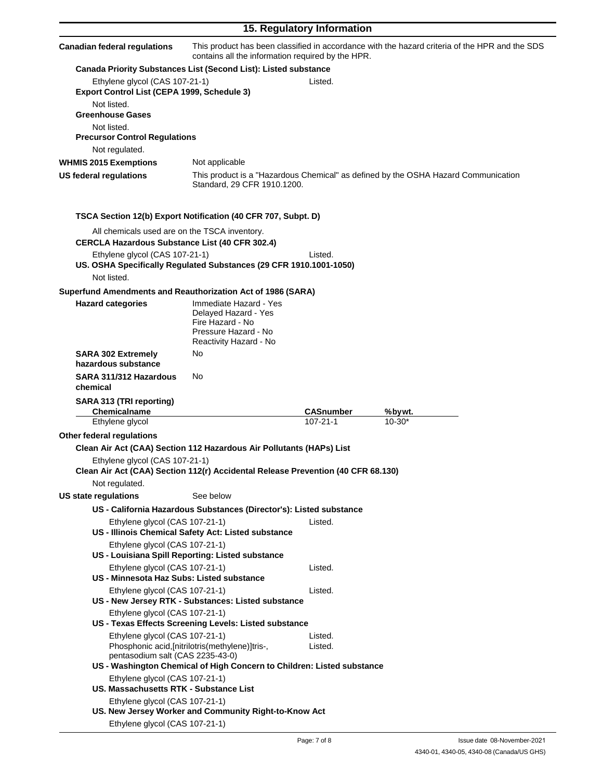| 15. Regulatory Information                                                                             |                                                                                                                      |                  |                                                                                                |
|--------------------------------------------------------------------------------------------------------|----------------------------------------------------------------------------------------------------------------------|------------------|------------------------------------------------------------------------------------------------|
| <b>Canadian federal regulations</b>                                                                    | contains all the information required by the HPR.                                                                    |                  | This product has been classified in accordance with the hazard criteria of the HPR and the SDS |
|                                                                                                        | Canada Priority Substances List (Second List): Listed substance                                                      |                  |                                                                                                |
| Ethylene glycol (CAS 107-21-1)<br>Export Control List (CEPA 1999, Schedule 3)                          |                                                                                                                      | Listed.          |                                                                                                |
| Not listed.<br><b>Greenhouse Gases</b>                                                                 |                                                                                                                      |                  |                                                                                                |
| Not listed.<br><b>Precursor Control Regulations</b>                                                    |                                                                                                                      |                  |                                                                                                |
| Not regulated.                                                                                         |                                                                                                                      |                  |                                                                                                |
| <b>WHMIS 2015 Exemptions</b>                                                                           | Not applicable                                                                                                       |                  |                                                                                                |
| US federal regulations                                                                                 | Standard, 29 CFR 1910.1200.                                                                                          |                  | This product is a "Hazardous Chemical" as defined by the OSHA Hazard Communication             |
|                                                                                                        | TSCA Section 12(b) Export Notification (40 CFR 707, Subpt. D)                                                        |                  |                                                                                                |
| All chemicals used are on the TSCA inventory.<br><b>CERCLA Hazardous Substance List (40 CFR 302.4)</b> |                                                                                                                      |                  |                                                                                                |
| Ethylene glycol (CAS 107-21-1)                                                                         | US. OSHA Specifically Regulated Substances (29 CFR 1910.1001-1050)                                                   | Listed.          |                                                                                                |
| Not listed.                                                                                            |                                                                                                                      |                  |                                                                                                |
| Superfund Amendments and Reauthorization Act of 1986 (SARA)                                            |                                                                                                                      |                  |                                                                                                |
| <b>Hazard categories</b>                                                                               | Immediate Hazard - Yes<br>Delayed Hazard - Yes<br>Fire Hazard - No<br>Pressure Hazard - No<br>Reactivity Hazard - No |                  |                                                                                                |
| <b>SARA 302 Extremely</b><br>hazardous substance                                                       | No                                                                                                                   |                  |                                                                                                |
| SARA 311/312 Hazardous<br>chemical                                                                     | No                                                                                                                   |                  |                                                                                                |
| SARA 313 (TRI reporting)<br>Chemicalname                                                               |                                                                                                                      | <b>CASnumber</b> | %bywt.                                                                                         |
| Ethylene glycol                                                                                        |                                                                                                                      | $107 - 21 - 1$   | $10 - 30*$                                                                                     |
| Other federal regulations                                                                              |                                                                                                                      |                  |                                                                                                |
|                                                                                                        | Clean Air Act (CAA) Section 112 Hazardous Air Pollutants (HAPs) List                                                 |                  |                                                                                                |
| Ethylene glycol (CAS 107-21-1)                                                                         | Clean Air Act (CAA) Section 112(r) Accidental Release Prevention (40 CFR 68.130)                                     |                  |                                                                                                |
| Not regulated.                                                                                         |                                                                                                                      |                  |                                                                                                |
| US state regulations                                                                                   | See below                                                                                                            |                  |                                                                                                |
|                                                                                                        | US - California Hazardous Substances (Director's): Listed substance                                                  |                  |                                                                                                |
| Ethylene glycol (CAS 107-21-1)                                                                         | US - Illinois Chemical Safety Act: Listed substance                                                                  | Listed.          |                                                                                                |
| Ethylene glycol (CAS 107-21-1)                                                                         | US - Louisiana Spill Reporting: Listed substance                                                                     |                  |                                                                                                |
| Ethylene glycol (CAS 107-21-1)<br>US - Minnesota Haz Subs: Listed substance                            |                                                                                                                      | Listed.          |                                                                                                |
| Ethylene glycol (CAS 107-21-1)<br>Ethylene glycol (CAS 107-21-1)                                       | US - New Jersey RTK - Substances: Listed substance                                                                   | Listed.          |                                                                                                |
| Ethylene glycol (CAS 107-21-1)                                                                         | US - Texas Effects Screening Levels: Listed substance                                                                | Listed.          |                                                                                                |
| pentasodium salt (CAS 2235-43-0)                                                                       | Phosphonic acid, [nitrilotris(methylene)]tris-,                                                                      | Listed.          |                                                                                                |
| Ethylene glycol (CAS 107-21-1)<br>US. Massachusetts RTK - Substance List                               | US - Washington Chemical of High Concern to Children: Listed substance                                               |                  |                                                                                                |
| Ethylene glycol (CAS 107-21-1)                                                                         | US. New Jersey Worker and Community Right-to-Know Act                                                                |                  |                                                                                                |
| Ethylene glycol (CAS 107-21-1)                                                                         |                                                                                                                      |                  |                                                                                                |